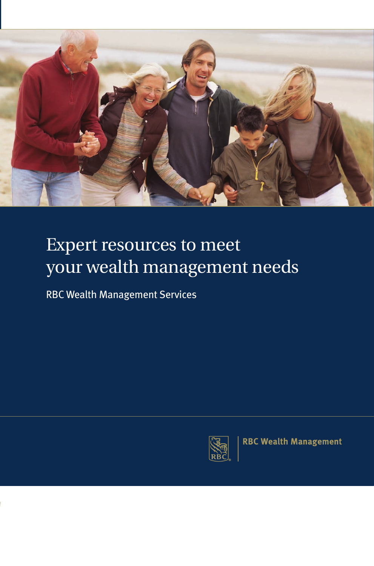

# Expert resources to meet your wealth management needs

RBC Wealth Management Services



**RBC Wealth Management**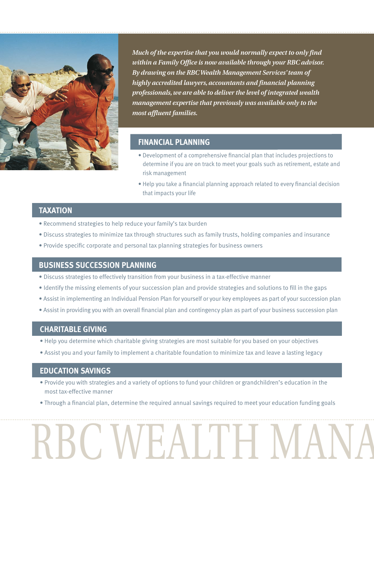

*Much of the expertise that you would normally expect to only find within a Family Office is now available through your RBC advisor. By drawing on the RBC Wealth Management Services' team of highly accredited lawyers, accountants and financial planning professionals, we are able to deliver the level of integrated wealth management expertise that previously was available only to the most affluent families.*

## **FINANCIAL PLANNING**

- Development of a comprehensive financial plan that includes projections to determine if you are on track to meet your goals such as retirement, estate and risk management
- Help you take a financial planning approach related to every financial decision that impacts your life

# **TAXATION**

- Recommend strategies to help reduce your family's tax burden
- Discuss strategies to minimize tax through structures such as family trusts, holding companies and insurance
- Provide specific corporate and personal tax planning strategies for business owners

#### **BUSINESS SUCCESSION PLANNING**

- Discuss strategies to effectively transition from your business in a tax-effective manner
- Identify the missing elements of your succession plan and provide strategies and solutions to fill in the gaps
- Assist in implementing an Individual Pension Plan for yourself or your key employees as part of your succession plan
- Assist in providing you with an overall financial plan and contingency plan as part of your business succession plan

#### **CHARITABLE GIVING**

- Help you determine which charitable giving strategies are most suitable for you based on your objectives
- Assist you and your family to implement a charitable foundation to minimize tax and leave a lasting legacy

#### **EDUCATION SAVINGS**

- Provide you with strategies and a variety of options to fund your children or grandchildren's education in the most tax-effective manner
- Through a financial plan, determine the required annual savings required to meet your education funding goals

# RBC WEALTH MANA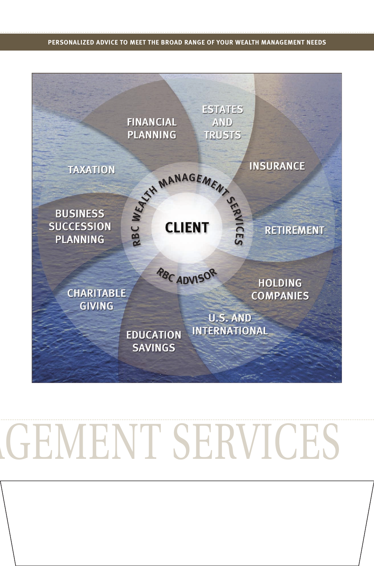#### **PERSONALIZED ADVICE TO MEET THE BROAD RANGE OF YOUR WEALTH MANAGEMENT NEEDS**



# GEMENT SERVICES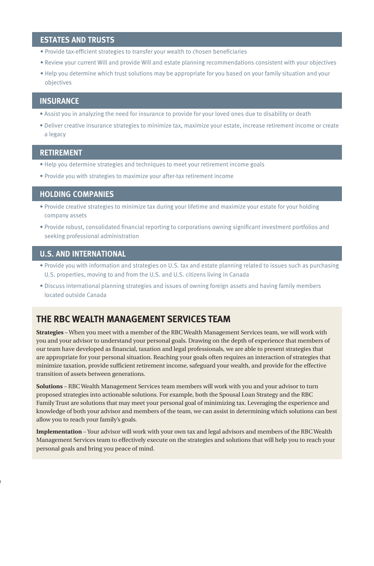## **ESTATES AND TRUSTS**

- Provide tax-efficient strategies to transfer your wealth to chosen beneficiaries
- Review your current Will and provide Will and estate planning recommendations consistent with your objectives
- Help you determine which trust solutions may be appropriate for you based on your family situation and your objectives

# **INSURANCE**

- Assist you in analyzing the need for insurance to provide for your loved ones due to disability or death
- Deliver creative insurance strategies to minimize tax, maximize your estate, increase retirement income or create a legacy

#### **RETIREMENT**

- Help you determine strategies and techniques to meet your retirement income goals
- Provide you with strategies to maximize your after-tax retirement income

#### **HOLDING COMPANIES**

- Provide creative strategies to minimize tax during your lifetime and maximize your estate for your holding company assets
- Provide robust, consolidated financial reporting to corporations owning significant investment portfolios and seeking professional administration

## **U.S. AND INTERNATIONAL**

- Provide you with information and strategies on U.S. tax and estate planning related to issues such as purchasing U.S. properties, moving to and from the U.S. and U.S. citizens living in Canada
- Discuss international planning strategies and issues of owning foreign assets and having family members located outside Canada

# **THE RBC WEALTH MANAGEMENT SERVICES TEAM**

**Strategies** – When you meet with a member of the RBC Wealth Management Services team, we will work with you and your advisor to understand your personal goals. Drawing on the depth of experience that members of our team have developed as financial, taxation and legal professionals, we are able to present strategies that are appropriate for your personal situation. Reaching your goals often requires an interaction of strategies that minimize taxation, provide sufficient retirement income, safeguard your wealth, and provide for the effective transition of assets between generations.

**Solutions** – RBC Wealth Management Services team members will work with you and your advisor to turn proposed strategies into actionable solutions. For example, both the Spousal Loan Strategy and the RBC Family Trust are solutions that may meet your personal goal of minimizing tax. Leveraging the experience and knowledge of both your advisor and members of the team, we can assist in determining which solutions can best allow you to reach your family's goals.

**Implementation** – Your advisor will work with your own tax and legal advisors and members of the RBC Wealth Management Services team to effectively execute on the strategies and solutions that will help you to reach your personal goals and bring you peace of mind.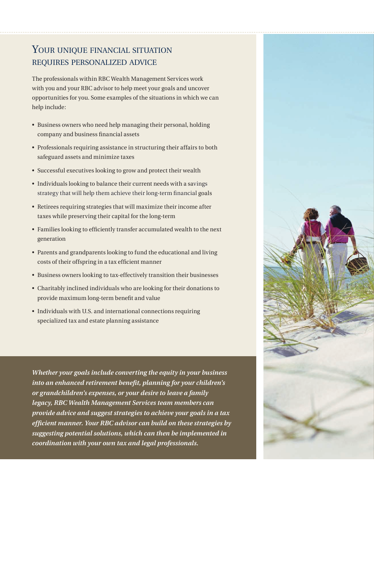# YOUR UNIQUE FINANCIAL SITUATION requires personalized advice

The professionals within RBC Wealth Management Services work with you and your RBC advisor to help meet your goals and uncover opportunities for you. Some examples of the situations in which we can help include:

- Business owners who need help managing their personal, holding company and business financial assets
- Professionals requiring assistance in structuring their affairs to both safeguard assets and minimize taxes
- Successful executives looking to grow and protect their wealth
- Individuals looking to balance their current needs with a savings strategy that will help them achieve their long-term financial goals
- Retirees requiring strategies that will maximize their income after taxes while preserving their capital for the long-term
- Families looking to efficiently transfer accumulated wealth to the next generation
- Parents and grandparents looking to fund the educational and living costs of their offspring in a tax efficient manner
- Business owners looking to tax-effectively transition their businesses
- Charitably inclined individuals who are looking for their donations to provide maximum long-term benefit and value
- Individuals with U.S. and international connections requiring specialized tax and estate planning assistance

*Whether your goals include converting the equity in your business into an enhanced retirement benefit, planning for your children's or grandchildren's expenses, or your desire to leave a family legacy, RBC Wealth Management Services team members can provide advice and suggest strategies to achieve your goals in a tax efficient manner. Your RBC advisor can build on these strategies by suggesting potential solutions, which can then be implemented in coordination with your own tax and legal professionals.*